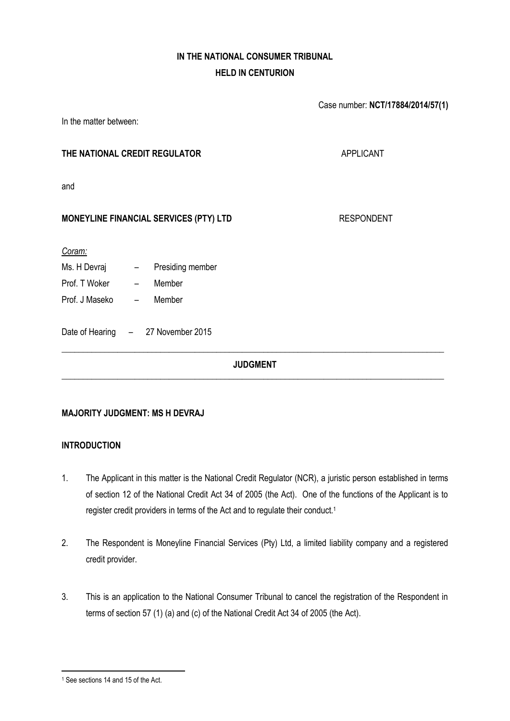# **IN THE NATIONAL CONSUMER TRIBUNAL HELD IN CENTURION**

|                                               | Case number: NCT/17884/2014/57(1) |
|-----------------------------------------------|-----------------------------------|
| In the matter between:                        |                                   |
| THE NATIONAL CREDIT REGULATOR                 | <b>APPLICANT</b>                  |
| and                                           |                                   |
| <b>MONEYLINE FINANCIAL SERVICES (PTY) LTD</b> | <b>RESPONDENT</b>                 |
| Coram:                                        |                                   |
| Presiding member                              |                                   |
| Prof. T Woker -<br>Member                     |                                   |
| Prof. J Maseko            –<br>Member         |                                   |
| Date of Hearing - 27 November 2015            |                                   |
| <b>JUDGMENT</b>                               |                                   |
|                                               |                                   |

## **MAJORITY JUDGMENT: MS H DEVRAJ**

## **INTRODUCTION**

- 1. The Applicant in this matter is the National Credit Regulator (NCR), a juristic person established in terms of section 12 of the National Credit Act 34 of 2005 (the Act). One of the functions of the Applicant is to register credit providers in terms of the Act and to regulate their conduct.<sup>1</sup>
- 2. The Respondent is Moneyline Financial Services (Pty) Ltd, a limited liability company and a registered credit provider.
- 3. This is an application to the National Consumer Tribunal to cancel the registration of the Respondent in terms of section 57 (1) (a) and (c) of the National Credit Act 34 of 2005 (the Act).

<sup>&</sup>lt;sup>1</sup> See sections 14 and 15 of the Act.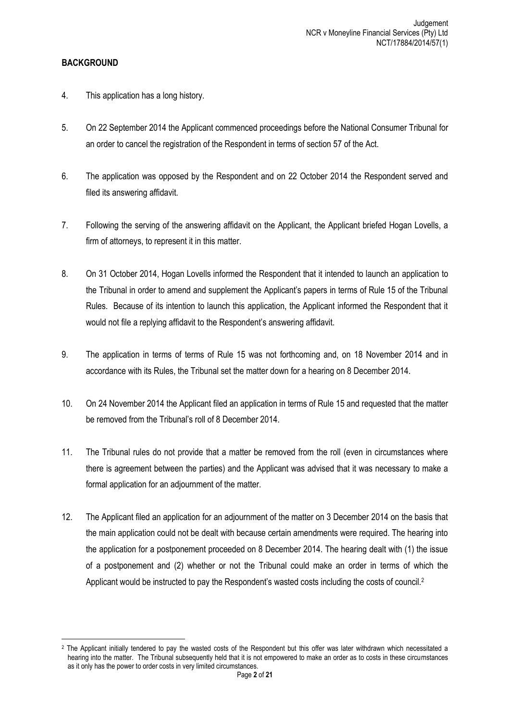## **BACKGROUND**

- 4. This application has a long history.
- 5. On 22 September 2014 the Applicant commenced proceedings before the National Consumer Tribunal for an order to cancel the registration of the Respondent in terms of section 57 of the Act.
- 6. The application was opposed by the Respondent and on 22 October 2014 the Respondent served and filed its answering affidavit.
- 7. Following the serving of the answering affidavit on the Applicant, the Applicant briefed Hogan Lovells, a firm of attorneys, to represent it in this matter.
- 8. On 31 October 2014, Hogan Lovells informed the Respondent that it intended to launch an application to the Tribunal in order to amend and supplement the Applicant's papers in terms of Rule 15 of the Tribunal Rules. Because of its intention to launch this application, the Applicant informed the Respondent that it would not file a replying affidavit to the Respondent's answering affidavit.
- 9. The application in terms of terms of Rule 15 was not forthcoming and, on 18 November 2014 and in accordance with its Rules, the Tribunal set the matter down for a hearing on 8 December 2014.
- 10. On 24 November 2014 the Applicant filed an application in terms of Rule 15 and requested that the matter be removed from the Tribunal's roll of 8 December 2014.
- 11. The Tribunal rules do not provide that a matter be removed from the roll (even in circumstances where there is agreement between the parties) and the Applicant was advised that it was necessary to make a formal application for an adjournment of the matter.
- 12. The Applicant filed an application for an adjournment of the matter on 3 December 2014 on the basis that the main application could not be dealt with because certain amendments were required. The hearing into the application for a postponement proceeded on 8 December 2014. The hearing dealt with (1) the issue of a postponement and (2) whether or not the Tribunal could make an order in terms of which the Applicant would be instructed to pay the Respondent's wasted costs including the costs of council.<sup>2</sup>

**<sup>.</sup>** <sup>2</sup> The Applicant initially tendered to pay the wasted costs of the Respondent but this offer was later withdrawn which necessitated a hearing into the matter. The Tribunal subsequently held that it is not empowered to make an order as to costs in these circumstances as it only has the power to order costs in very limited circumstances.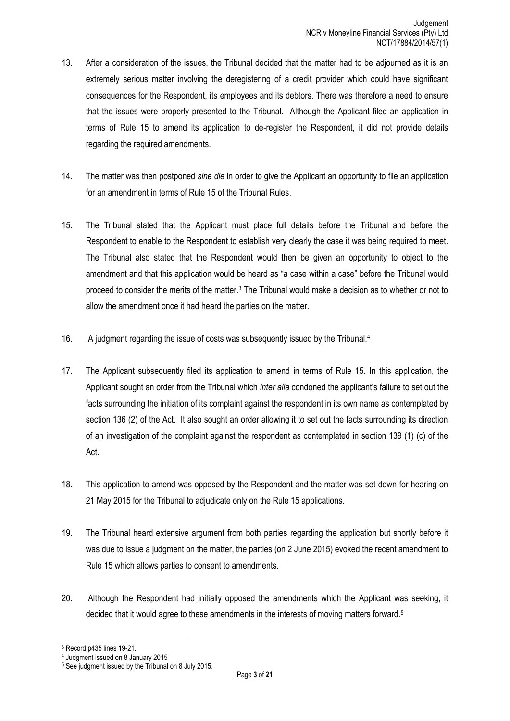- 13. After a consideration of the issues, the Tribunal decided that the matter had to be adjourned as it is an extremely serious matter involving the deregistering of a credit provider which could have significant consequences for the Respondent, its employees and its debtors. There was therefore a need to ensure that the issues were properly presented to the Tribunal. Although the Applicant filed an application in terms of Rule 15 to amend its application to de-register the Respondent, it did not provide details regarding the required amendments.
- 14. The matter was then postponed *sine die* in order to give the Applicant an opportunity to file an application for an amendment in terms of Rule 15 of the Tribunal Rules.
- 15. The Tribunal stated that the Applicant must place full details before the Tribunal and before the Respondent to enable to the Respondent to establish very clearly the case it was being required to meet. The Tribunal also stated that the Respondent would then be given an opportunity to object to the amendment and that this application would be heard as "a case within a case" before the Tribunal would proceed to consider the merits of the matter.<sup>3</sup> The Tribunal would make a decision as to whether or not to allow the amendment once it had heard the parties on the matter.
- 16. A judgment regarding the issue of costs was subsequently issued by the Tribunal.<sup>4</sup>
- 17. The Applicant subsequently filed its application to amend in terms of Rule 15. In this application, the Applicant sought an order from the Tribunal which *inter alia* condoned the applicant's failure to set out the facts surrounding the initiation of its complaint against the respondent in its own name as contemplated by section 136 (2) of the Act. It also sought an order allowing it to set out the facts surrounding its direction of an investigation of the complaint against the respondent as contemplated in section 139 (1) (c) of the Act.
- 18. This application to amend was opposed by the Respondent and the matter was set down for hearing on 21 May 2015 for the Tribunal to adjudicate only on the Rule 15 applications.
- 19. The Tribunal heard extensive argument from both parties regarding the application but shortly before it was due to issue a judgment on the matter, the parties (on 2 June 2015) evoked the recent amendment to Rule 15 which allows parties to consent to amendments.
- 20. Although the Respondent had initially opposed the amendments which the Applicant was seeking, it decided that it would agree to these amendments in the interests of moving matters forward.<sup>5</sup>

**.** 

<sup>3</sup> Record p435 lines 19-21.

<sup>4</sup> Judgment issued on 8 January 2015

<sup>5</sup> See judgment issued by the Tribunal on 8 July 2015.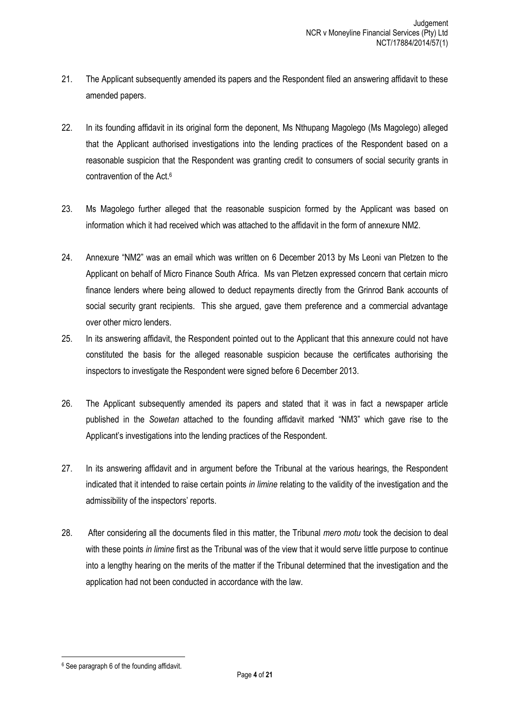- 21. The Applicant subsequently amended its papers and the Respondent filed an answering affidavit to these amended papers.
- 22. In its founding affidavit in its original form the deponent, Ms Nthupang Magolego (Ms Magolego) alleged that the Applicant authorised investigations into the lending practices of the Respondent based on a reasonable suspicion that the Respondent was granting credit to consumers of social security grants in contravention of the Act.<sup>6</sup>
- 23. Ms Magolego further alleged that the reasonable suspicion formed by the Applicant was based on information which it had received which was attached to the affidavit in the form of annexure NM2.
- 24. Annexure "NM2" was an email which was written on 6 December 2013 by Ms Leoni van Pletzen to the Applicant on behalf of Micro Finance South Africa. Ms van Pletzen expressed concern that certain micro finance lenders where being allowed to deduct repayments directly from the Grinrod Bank accounts of social security grant recipients. This she argued, gave them preference and a commercial advantage over other micro lenders.
- 25. In its answering affidavit, the Respondent pointed out to the Applicant that this annexure could not have constituted the basis for the alleged reasonable suspicion because the certificates authorising the inspectors to investigate the Respondent were signed before 6 December 2013.
- 26. The Applicant subsequently amended its papers and stated that it was in fact a newspaper article published in the *Sowetan* attached to the founding affidavit marked "NM3" which gave rise to the Applicant's investigations into the lending practices of the Respondent.
- 27. In its answering affidavit and in argument before the Tribunal at the various hearings, the Respondent indicated that it intended to raise certain points *in limine* relating to the validity of the investigation and the admissibility of the inspectors' reports.
- 28. After considering all the documents filed in this matter, the Tribunal *mero motu* took the decision to deal with these points *in limine* first as the Tribunal was of the view that it would serve little purpose to continue into a lengthy hearing on the merits of the matter if the Tribunal determined that the investigation and the application had not been conducted in accordance with the law.

<sup>6</sup> See paragraph 6 of the founding affidavit.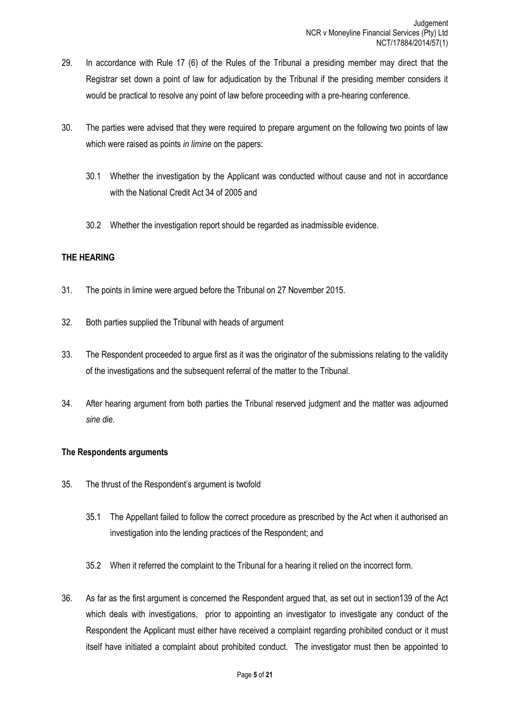- 29. In accordance with Rule 17 (6) of the Rules of the Tribunal a presiding member may direct that the Registrar set down a point of law for adjudication by the Tribunal if the presiding member considers it would be practical to resolve any point of law before proceeding with a pre-hearing conference.
- 30. The parties were advised that they were required to prepare argument on the following two points of law which were raised as points *in limine* on the papers:
	- 30.1 Whether the investigation by the Applicant was conducted without cause and not in accordance with the National Credit Act 34 of 2005 and
	- 30.2 Whether the investigation report should be regarded as inadmissible evidence.

### **THE HEARING**

- 31. The points in limine were argued before the Tribunal on 27 November 2015.
- 32. Both parties supplied the Tribunal with heads of argument
- 33. The Respondent proceeded to argue first as it was the originator of the submissions relating to the validity of the investigations and the subsequent referral of the matter to the Tribunal.
- 34. After hearing argument from both parties the Tribunal reserved judgment and the matter was adjourned *sine die*.

### **The Respondents arguments**

- 35. The thrust of the Respondent's argument is twofold
	- 35.1 The Appellant failed to follow the correct procedure as prescribed by the Act when it authorised an investigation into the lending practices of the Respondent; and
	- 35.2 When it referred the complaint to the Tribunal for a hearing it relied on the incorrect form.
- 36. As far as the first argument is concerned the Respondent argued that, as set out in section139 of the Act which deals with investigations, prior to appointing an investigator to investigate any conduct of the Respondent the Applicant must either have received a complaint regarding prohibited conduct or it must itself have initiated a complaint about prohibited conduct. The investigator must then be appointed to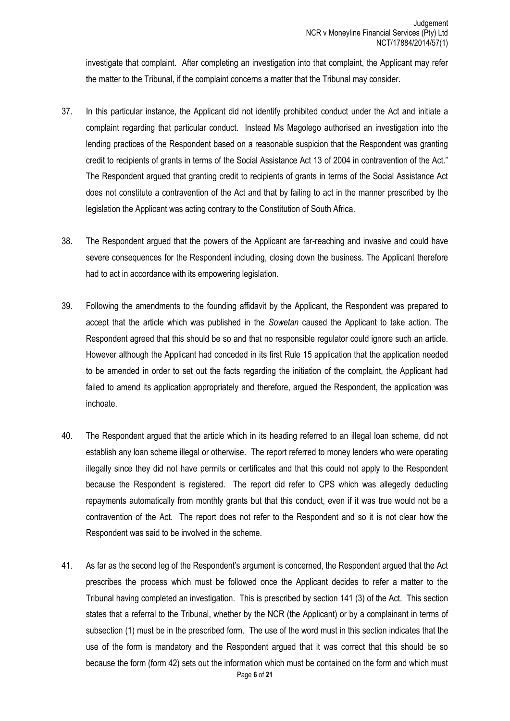investigate that complaint. After completing an investigation into that complaint, the Applicant may refer the matter to the Tribunal, if the complaint concerns a matter that the Tribunal may consider.

- 37. In this particular instance, the Applicant did not identify prohibited conduct under the Act and initiate a complaint regarding that particular conduct. Instead Ms Magolego authorised an investigation into the lending practices of the Respondent based on a reasonable suspicion that the Respondent was granting credit to recipients of grants in terms of the Social Assistance Act 13 of 2004 in contravention of the Act." The Respondent argued that granting credit to recipients of grants in terms of the Social Assistance Act does not constitute a contravention of the Act and that by failing to act in the manner prescribed by the legislation the Applicant was acting contrary to the Constitution of South Africa.
- 38. The Respondent argued that the powers of the Applicant are far-reaching and invasive and could have severe consequences for the Respondent including, closing down the business. The Applicant therefore had to act in accordance with its empowering legislation.
- 39. Following the amendments to the founding affidavit by the Applicant, the Respondent was prepared to accept that the article which was published in the *Sowetan* caused the Applicant to take action. The Respondent agreed that this should be so and that no responsible regulator could ignore such an article. However although the Applicant had conceded in its first Rule 15 application that the application needed to be amended in order to set out the facts regarding the initiation of the complaint, the Applicant had failed to amend its application appropriately and therefore, argued the Respondent, the application was inchoate.
- 40. The Respondent argued that the article which in its heading referred to an illegal loan scheme, did not establish any loan scheme illegal or otherwise. The report referred to money lenders who were operating illegally since they did not have permits or certificates and that this could not apply to the Respondent because the Respondent is registered. The report did refer to CPS which was allegedly deducting repayments automatically from monthly grants but that this conduct, even if it was true would not be a contravention of the Act. The report does not refer to the Respondent and so it is not clear how the Respondent was said to be involved in the scheme.
- Page **6** of **21** 41. As far as the second leg of the Respondent's argument is concerned, the Respondent argued that the Act prescribes the process which must be followed once the Applicant decides to refer a matter to the Tribunal having completed an investigation. This is prescribed by section 141 (3) of the Act. This section states that a referral to the Tribunal, whether by the NCR (the Applicant) or by a complainant in terms of subsection (1) must be in the prescribed form. The use of the word must in this section indicates that the use of the form is mandatory and the Respondent argued that it was correct that this should be so because the form (form 42) sets out the information which must be contained on the form and which must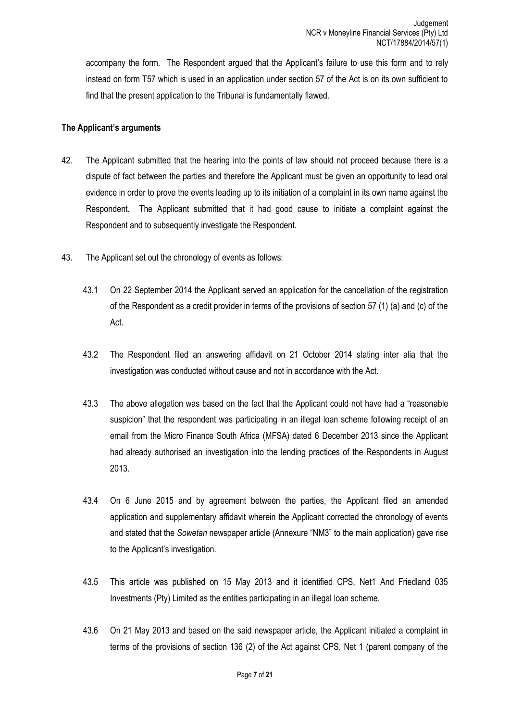accompany the form. The Respondent argued that the Applicant's failure to use this form and to rely instead on form T57 which is used in an application under section 57 of the Act is on its own sufficient to find that the present application to the Tribunal is fundamentally flawed.

### **The Applicant's arguments**

- 42. The Applicant submitted that the hearing into the points of law should not proceed because there is a dispute of fact between the parties and therefore the Applicant must be given an opportunity to lead oral evidence in order to prove the events leading up to its initiation of a complaint in its own name against the Respondent. The Applicant submitted that it had good cause to initiate a complaint against the Respondent and to subsequently investigate the Respondent.
- 43. The Applicant set out the chronology of events as follows:
	- 43.1 On 22 September 2014 the Applicant served an application for the cancellation of the registration of the Respondent as a credit provider in terms of the provisions of section 57 (1) (a) and (c) of the Act.
	- 43.2 The Respondent filed an answering affidavit on 21 October 2014 stating inter alia that the investigation was conducted without cause and not in accordance with the Act.
	- 43.3 The above allegation was based on the fact that the Applicant could not have had a "reasonable suspicion" that the respondent was participating in an illegal loan scheme following receipt of an email from the Micro Finance South Africa (MFSA) dated 6 December 2013 since the Applicant had already authorised an investigation into the lending practices of the Respondents in August 2013.
	- 43.4 On 6 June 2015 and by agreement between the parties, the Applicant filed an amended application and supplementary affidavit wherein the Applicant corrected the chronology of events and stated that the *Sowetan* newspaper article (Annexure "NM3" to the main application) gave rise to the Applicant's investigation.
	- 43.5 This article was published on 15 May 2013 and it identified CPS, Net1 And Friedland 035 Investments (Pty) Limited as the entities participating in an illegal loan scheme.
	- 43.6 On 21 May 2013 and based on the said newspaper article, the Applicant initiated a complaint in terms of the provisions of section 136 (2) of the Act against CPS, Net 1 (parent company of the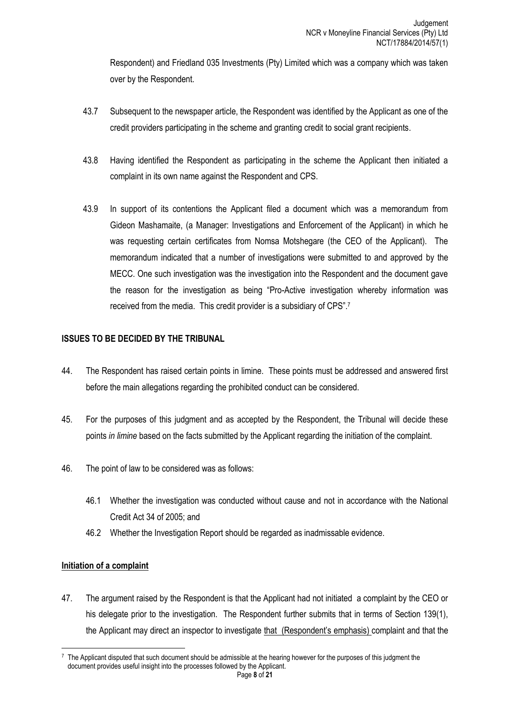Respondent) and Friedland 035 Investments (Pty) Limited which was a company which was taken over by the Respondent.

- 43.7 Subsequent to the newspaper article, the Respondent was identified by the Applicant as one of the credit providers participating in the scheme and granting credit to social grant recipients.
- 43.8 Having identified the Respondent as participating in the scheme the Applicant then initiated a complaint in its own name against the Respondent and CPS.
- 43.9 In support of its contentions the Applicant filed a document which was a memorandum from Gideon Mashamaite, (a Manager: Investigations and Enforcement of the Applicant) in which he was requesting certain certificates from Nomsa Motshegare (the CEO of the Applicant). The memorandum indicated that a number of investigations were submitted to and approved by the MECC. One such investigation was the investigation into the Respondent and the document gave the reason for the investigation as being "Pro-Active investigation whereby information was received from the media. This credit provider is a subsidiary of CPS".<sup>7</sup>

## **ISSUES TO BE DECIDED BY THE TRIBUNAL**

- 44. The Respondent has raised certain points in limine. These points must be addressed and answered first before the main allegations regarding the prohibited conduct can be considered.
- 45. For the purposes of this judgment and as accepted by the Respondent, the Tribunal will decide these points *in limine* based on the facts submitted by the Applicant regarding the initiation of the complaint.
- 46. The point of law to be considered was as follows:
	- 46.1 Whether the investigation was conducted without cause and not in accordance with the National Credit Act 34 of 2005; and
	- 46.2 Whether the Investigation Report should be regarded as inadmissable evidence.

## **Initiation of a complaint**

47. The argument raised by the Respondent is that the Applicant had not initiated a complaint by the CEO or his delegate prior to the investigation. The Respondent further submits that in terms of Section 139(1), the Applicant may direct an inspector to investigate that (Respondent's emphasis) complaint and that the

**<sup>.</sup>**  $7$  The Applicant disputed that such document should be admissible at the hearing however for the purposes of this judgment the document provides useful insight into the processes followed by the Applicant.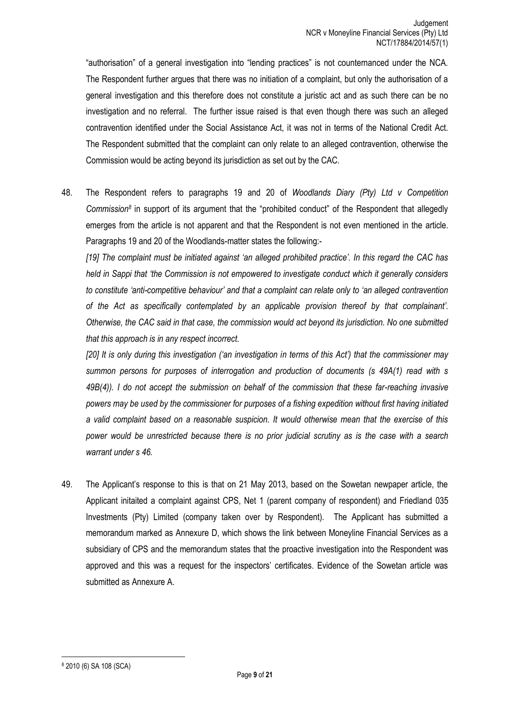"authorisation" of a general investigation into "lending practices" is not counternanced under the NCA. The Respondent further argues that there was no initiation of a complaint, but only the authorisation of a general investigation and this therefore does not constitute a juristic act and as such there can be no investigation and no referral. The further issue raised is that even though there was such an alleged contravention identified under the Social Assistance Act, it was not in terms of the National Credit Act. The Respondent submitted that the complaint can only relate to an alleged contravention, otherwise the Commission would be acting beyond its jurisdiction as set out by the CAC.

48. The Respondent refers to paragraphs 19 and 20 of *Woodlands Diary (Pty) Ltd v Competition Commission<sup>8</sup>* in support of its argument that the "prohibited conduct" of the Respondent that allegedly emerges from the article is not apparent and that the Respondent is not even mentioned in the article. Paragraphs 19 and 20 of the Woodlands-matter states the following:-

*[19] The complaint must be initiated against 'an alleged prohibited practice'. In this regard the CAC has held in Sappi that 'the Commission is not empowered to investigate conduct which it generally considers to constitute 'anti-competitive behaviour' and that a complaint can relate only to 'an alleged contravention of the Act as specifically contemplated by an applicable provision thereof by that complainant'. Otherwise, the CAC said in that case, the commission would act beyond its jurisdiction. No one submitted that this approach is in any respect incorrect.*

*[20] It is only during this investigation ('an investigation in terms of this Act') that the commissioner may summon persons for purposes of interrogation and production of documents (s 49A(1) read with s 49B(4)). I do not accept the submission on behalf of the commission that these far-reaching invasive powers may be used by the commissioner for purposes of a fishing expedition without first having initiated a valid complaint based on a reasonable suspicion. It would otherwise mean that the exercise of this power would be unrestricted because there is no prior judicial scrutiny as is the case with a search warrant under s 46.*

49. The Applicant's response to this is that on 21 May 2013, based on the Sowetan newpaper article, the Applicant initaited a complaint against CPS, Net 1 (parent company of respondent) and Friedland 035 Investments (Pty) Limited (company taken over by Respondent). The Applicant has submitted a memorandum marked as Annexure D, which shows the link between Moneyline Financial Services as a subsidiary of CPS and the memorandum states that the proactive investigation into the Respondent was approved and this was a request for the inspectors' certificates. Evidence of the Sowetan article was submitted as Annexure A.

<sup>8</sup> 2010 (6) SA 108 (SCA)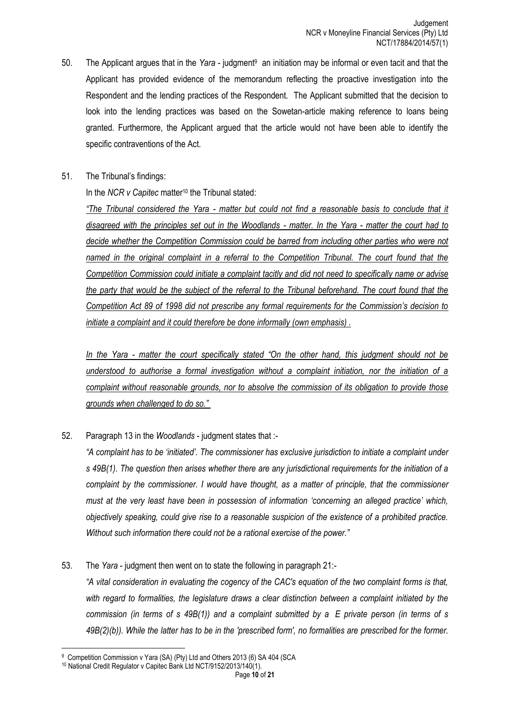- 50. The Applicant argues that in the *Yara* judgment<sup>9</sup> an initiation may be informal or even tacit and that the Applicant has provided evidence of the memorandum reflecting the proactive investigation into the Respondent and the lending practices of the Respondent. The Applicant submitted that the decision to look into the lending practices was based on the Sowetan-article making reference to loans being granted. Furthermore, the Applicant argued that the article would not have been able to identify the specific contraventions of the Act.
- 51. The Tribunal's findings:

In the *NCR v Capitec* matter<sup>10</sup> the Tribunal stated:

*"The Tribunal considered the Yara - matter but could not find a reasonable basis to conclude that it disagreed with the principles set out in the Woodlands - matter. In the Yara - matter the court had to decide whether the Competition Commission could be barred from including other parties who were not named in the original complaint in a referral to the Competition Tribunal. The court found that the Competition Commission could initiate a complaint tacitly and did not need to specifically name or advise the party that would be the subject of the referral to the Tribunal beforehand. The court found that the Competition Act 89 of 1998 did not prescribe any formal requirements for the Commission's decision to initiate a complaint and it could therefore be done informally (own emphasis) .*

*In the Yara - matter the court specifically stated "On the other hand, this judgment should not be understood to authorise a formal investigation without a complaint initiation, nor the initiation of a complaint without reasonable grounds, nor to absolve the commission of its obligation to provide those grounds when challenged to do so."*

52. Paragraph 13 in the *Woodlands* - judgment states that :-

*"A complaint has to be 'initiated'. The commissioner has exclusive jurisdiction to initiate a complaint under s 49B(1). The question then arises whether there are any jurisdictional requirements for the initiation of a complaint by the commissioner. I would have thought, as a matter of principle, that the commissioner must at the very least have been in possession of information 'concerning an alleged practice' which, objectively speaking, could give rise to a reasonable suspicion of the existence of a prohibited practice. Without such information there could not be a rational exercise of the power."*

53. The *Yara* - judgment then went on to state the following in paragraph 21:- *"A vital consideration in evaluating the cogency of the CAC's equation of the two complaint forms is that, with regard to formalities, the legislature draws a clear distinction between a complaint initiated by the commission (in terms of s 49B(1)) and a complaint submitted by a E private person (in terms of s 49B(2)(b)). While the latter has to be in the 'prescribed form', no formalities are prescribed for the former.* 

**<sup>.</sup>** <sup>9</sup> Competition Commission v Yara (SA) (Pty) Ltd and Others 2013 (6) SA 404 (SCA

<sup>10</sup> National Credit Regulator v Capitec Bank Ltd NCT/9152/2013/140(1).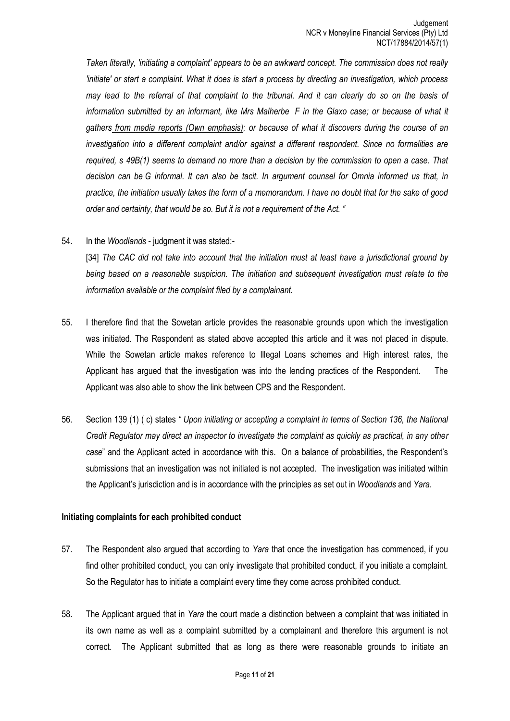*Taken literally, 'initiating a complaint' appears to be an awkward concept. The commission does not really 'initiate' or start a complaint. What it does is start a process by directing an investigation, which process may lead to the referral of that complaint to the tribunal. And it can clearly do so on the basis of information submitted by an informant, like Mrs Malherbe F in the Glaxo case; or because of what it gathers from media reports (Own emphasis); or because of what it discovers during the course of an investigation into a different complaint and/or against a different respondent. Since no formalities are required, s 49B(1) seems to demand no more than a decision by the commission to open a case. That decision can be G informal. It can also be tacit. In argument counsel for Omnia informed us that, in practice, the initiation usually takes the form of a memorandum. I have no doubt that for the sake of good order and certainty, that would be so. But it is not a requirement of the Act. "*

#### 54. In the *Woodlands* - judgment it was stated:-

[34] The CAC did not take into account that the initiation must at least have a jurisdictional ground by *being based on a reasonable suspicion. The initiation and subsequent investigation must relate to the information available or the complaint filed by a complainant.* 

- 55. I therefore find that the Sowetan article provides the reasonable grounds upon which the investigation was initiated. The Respondent as stated above accepted this article and it was not placed in dispute. While the Sowetan article makes reference to Illegal Loans schemes and High interest rates, the Applicant has argued that the investigation was into the lending practices of the Respondent. The Applicant was also able to show the link between CPS and the Respondent.
- 56. Section 139 (1) ( c) states *" Upon initiating or accepting a complaint in terms of Section 136, the National Credit Regulator may direct an inspector to investigate the complaint as quickly as practical, in any other case*" and the Applicant acted in accordance with this. On a balance of probabilities, the Respondent's submissions that an investigation was not initiated is not accepted. The investigation was initiated within the Applicant's jurisdiction and is in accordance with the principles as set out in *Woodlands* and *Yara*.

#### **Initiating complaints for each prohibited conduct**

- 57. The Respondent also argued that according to *Yara* that once the investigation has commenced, if you find other prohibited conduct, you can only investigate that prohibited conduct, if you initiate a complaint. So the Regulator has to initiate a complaint every time they come across prohibited conduct.
- 58. The Applicant argued that in *Yara* the court made a distinction between a complaint that was initiated in its own name as well as a complaint submitted by a complainant and therefore this argument is not correct. The Applicant submitted that as long as there were reasonable grounds to initiate an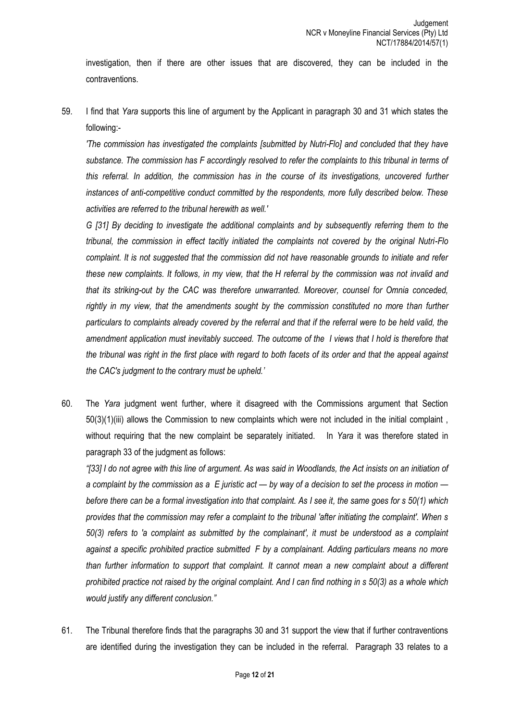investigation, then if there are other issues that are discovered, they can be included in the contraventions.

59. I find that *Yara* supports this line of argument by the Applicant in paragraph 30 and 31 which states the following:-

*'The commission has investigated the complaints [submitted by Nutri-Flo] and concluded that they have substance. The commission has F accordingly resolved to refer the complaints to this tribunal in terms of this referral. In addition, the commission has in the course of its investigations, uncovered further instances of anti-competitive conduct committed by the respondents, more fully described below. These activities are referred to the tribunal herewith as well.'*

*G [31] By deciding to investigate the additional complaints and by subsequently referring them to the tribunal, the commission in effect tacitly initiated the complaints not covered by the original Nutri-Flo complaint. It is not suggested that the commission did not have reasonable grounds to initiate and refer these new complaints. It follows, in my view, that the H referral by the commission was not invalid and that its striking-out by the CAC was therefore unwarranted. Moreover, counsel for Omnia conceded,*  rightly in my view, that the amendments sought by the commission constituted no more than further *particulars to complaints already covered by the referral and that if the referral were to be held valid, the amendment application must inevitably succeed. The outcome of the I views that I hold is therefore that the tribunal was right in the first place with regard to both facets of its order and that the appeal against the CAC's judgment to the contrary must be upheld.'*

60. The *Yara* judgment went further, where it disagreed with the Commissions argument that Section 50(3)(1)(iii) allows the Commission to new complaints which were not included in the initial complaint , without requiring that the new complaint be separately initiated. In *Yara* it was therefore stated in paragraph 33 of the judgment as follows:

*"[33] I do not agree with this line of argument. As was said in Woodlands, the Act insists on an initiation of a complaint by the commission as a E juristic act — by way of a decision to set the process in motion before there can be a formal investigation into that complaint. As I see it, the same goes for s 50(1) which provides that the commission may refer a complaint to the tribunal 'after initiating the complaint'. When s 50(3) refers to 'a complaint as submitted by the complainant', it must be understood as a complaint against a specific prohibited practice submitted F by a complainant. Adding particulars means no more than further information to support that complaint. It cannot mean a new complaint about a different prohibited practice not raised by the original complaint. And I can find nothing in s 50(3) as a whole which would justify any different conclusion."*

61. The Tribunal therefore finds that the paragraphs 30 and 31 support the view that if further contraventions are identified during the investigation they can be included in the referral. Paragraph 33 relates to a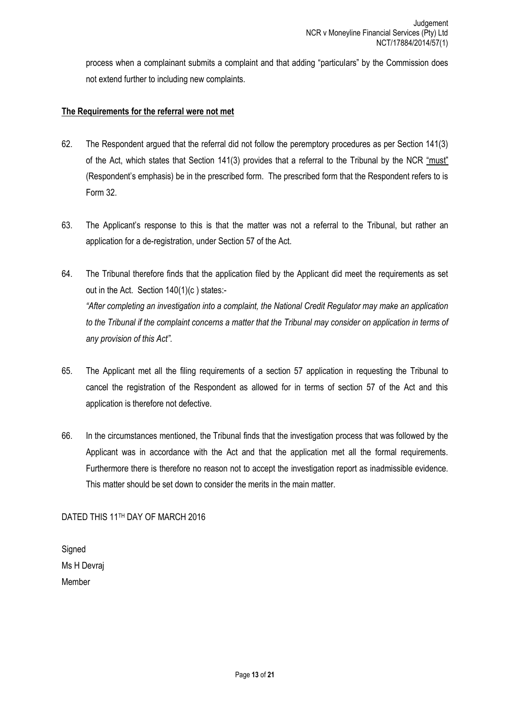process when a complainant submits a complaint and that adding "particulars" by the Commission does not extend further to including new complaints.

## **The Requirements for the referral were not met**

- 62. The Respondent argued that the referral did not follow the peremptory procedures as per Section 141(3) of the Act, which states that Section 141(3) provides that a referral to the Tribunal by the NCR "must" (Respondent's emphasis) be in the prescribed form. The prescribed form that the Respondent refers to is Form 32.
- 63. The Applicant's response to this is that the matter was not a referral to the Tribunal, but rather an application for a de-registration, under Section 57 of the Act.
- 64. The Tribunal therefore finds that the application filed by the Applicant did meet the requirements as set out in the Act. Section 140(1)(c ) states:- *"After completing an investigation into a complaint, the National Credit Regulator may make an application to the Tribunal if the complaint concerns a matter that the Tribunal may consider on application in terms of any provision of this Act".*
- 65. The Applicant met all the filing requirements of a section 57 application in requesting the Tribunal to cancel the registration of the Respondent as allowed for in terms of section 57 of the Act and this application is therefore not defective.
- 66. In the circumstances mentioned, the Tribunal finds that the investigation process that was followed by the Applicant was in accordance with the Act and that the application met all the formal requirements. Furthermore there is therefore no reason not to accept the investigation report as inadmissible evidence. This matter should be set down to consider the merits in the main matter.

DATED THIS 11TH DAY OF MARCH 2016

**Signed** Ms H Devraj Member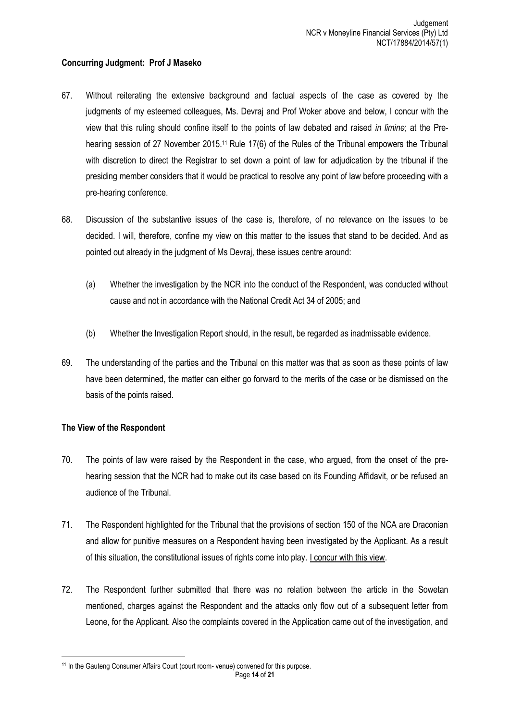### **Concurring Judgment: Prof J Maseko**

- 67. Without reiterating the extensive background and factual aspects of the case as covered by the judgments of my esteemed colleagues, Ms. Devraj and Prof Woker above and below, I concur with the view that this ruling should confine itself to the points of law debated and raised *in limine*; at the Prehearing session of 27 November 2015.<sup>11</sup> Rule 17(6) of the Rules of the Tribunal empowers the Tribunal with discretion to direct the Registrar to set down a point of law for adjudication by the tribunal if the presiding member considers that it would be practical to resolve any point of law before proceeding with a pre-hearing conference.
- 68. Discussion of the substantive issues of the case is, therefore, of no relevance on the issues to be decided. I will, therefore, confine my view on this matter to the issues that stand to be decided. And as pointed out already in the judgment of Ms Devraj, these issues centre around:
	- (a) Whether the investigation by the NCR into the conduct of the Respondent, was conducted without cause and not in accordance with the National Credit Act 34 of 2005; and
	- (b) Whether the Investigation Report should, in the result, be regarded as inadmissable evidence.
- 69. The understanding of the parties and the Tribunal on this matter was that as soon as these points of law have been determined, the matter can either go forward to the merits of the case or be dismissed on the basis of the points raised.

### **The View of the Respondent**

- 70. The points of law were raised by the Respondent in the case, who argued, from the onset of the prehearing session that the NCR had to make out its case based on its Founding Affidavit, or be refused an audience of the Tribunal.
- 71. The Respondent highlighted for the Tribunal that the provisions of section 150 of the NCA are Draconian and allow for punitive measures on a Respondent having been investigated by the Applicant. As a result of this situation, the constitutional issues of rights come into play. I concur with this view.
- 72. The Respondent further submitted that there was no relation between the article in the Sowetan mentioned, charges against the Respondent and the attacks only flow out of a subsequent letter from Leone, for the Applicant. Also the complaints covered in the Application came out of the investigation, and

Page **14** of **21** <sup>11</sup> In the Gauteng Consumer Affairs Court (court room- venue) convened for this purpose.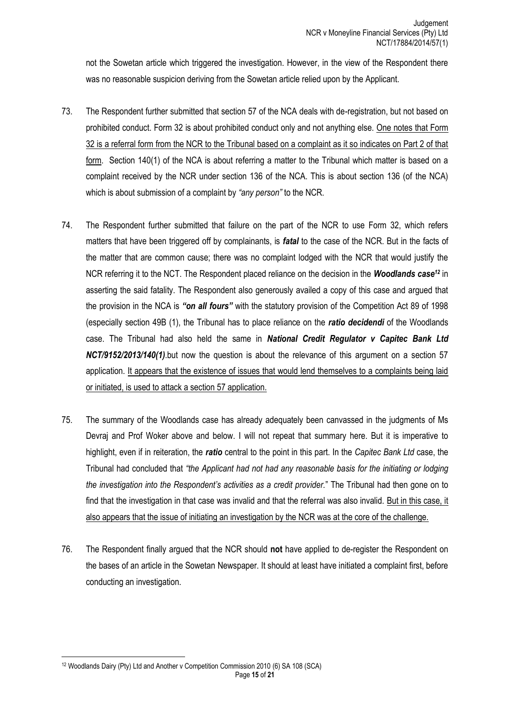not the Sowetan article which triggered the investigation. However, in the view of the Respondent there was no reasonable suspicion deriving from the Sowetan article relied upon by the Applicant.

- 73. The Respondent further submitted that section 57 of the NCA deals with de-registration, but not based on prohibited conduct. Form 32 is about prohibited conduct only and not anything else. One notes that Form 32 is a referral form from the NCR to the Tribunal based on a complaint as it so indicates on Part 2 of that form. Section 140(1) of the NCA is about referring a matter to the Tribunal which matter is based on a complaint received by the NCR under section 136 of the NCA. This is about section 136 (of the NCA) which is about submission of a complaint by *"any person"* to the NCR.
- 74. The Respondent further submitted that failure on the part of the NCR to use Form 32, which refers matters that have been triggered off by complainants, is *fatal* to the case of the NCR. But in the facts of the matter that are common cause; there was no complaint lodged with the NCR that would justify the NCR referring it to the NCT. The Respondent placed reliance on the decision in the *Woodlands case<sup>12</sup>* in asserting the said fatality. The Respondent also generously availed a copy of this case and argued that the provision in the NCA is *"on all fours"* with the statutory provision of the Competition Act 89 of 1998 (especially section 49B (1), the Tribunal has to place reliance on the *ratio decidendi* of the Woodlands case. The Tribunal had also held the same in *National Credit Regulator v Capitec Bank Ltd NCT/9152/2013/140(1)*.but now the question is about the relevance of this argument on a section 57 application. It appears that the existence of issues that would lend themselves to a complaints being laid or initiated, is used to attack a section 57 application.
- 75. The summary of the Woodlands case has already adequately been canvassed in the judgments of Ms Devraj and Prof Woker above and below. I will not repeat that summary here. But it is imperative to highlight, even if in reiteration, the *ratio* central to the point in this part. In the *Capitec Bank Ltd* case, the Tribunal had concluded that *"the Applicant had not had any reasonable basis for the initiating or lodging the investigation into the Respondent's activities as a credit provider.*" The Tribunal had then gone on to find that the investigation in that case was invalid and that the referral was also invalid. But in this case, it also appears that the issue of initiating an investigation by the NCR was at the core of the challenge.
- 76. The Respondent finally argued that the NCR should **not** have applied to de-register the Respondent on the bases of an article in the Sowetan Newspaper. It should at least have initiated a complaint first, before conducting an investigation.

Page **15** of **21** 1 <sup>12</sup> Woodlands Dairy (Pty) Ltd and Another v Competition Commission 2010 (6) SA 108 (SCA)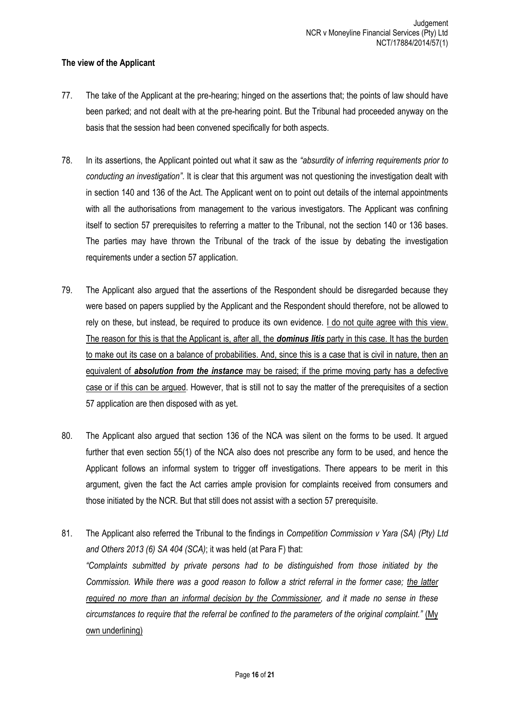## **The view of the Applicant**

- 77. The take of the Applicant at the pre-hearing; hinged on the assertions that; the points of law should have been parked; and not dealt with at the pre-hearing point. But the Tribunal had proceeded anyway on the basis that the session had been convened specifically for both aspects.
- 78. In its assertions, the Applicant pointed out what it saw as the *"absurdity of inferring requirements prior to conducting an investigation"*. It is clear that this argument was not questioning the investigation dealt with in section 140 and 136 of the Act. The Applicant went on to point out details of the internal appointments with all the authorisations from management to the various investigators. The Applicant was confining itself to section 57 prerequisites to referring a matter to the Tribunal, not the section 140 or 136 bases. The parties may have thrown the Tribunal of the track of the issue by debating the investigation requirements under a section 57 application.
- 79. The Applicant also argued that the assertions of the Respondent should be disregarded because they were based on papers supplied by the Applicant and the Respondent should therefore, not be allowed to rely on these, but instead, be required to produce its own evidence. I do not quite agree with this view. The reason for this is that the Applicant is, after all, the *dominus litis* party in this case. It has the burden to make out its case on a balance of probabilities. And, since this is a case that is civil in nature, then an equivalent of *absolution from the instance* may be raised; if the prime moving party has a defective case or if this can be argued. However, that is still not to say the matter of the prerequisites of a section 57 application are then disposed with as yet.
- 80. The Applicant also argued that section 136 of the NCA was silent on the forms to be used. It argued further that even section 55(1) of the NCA also does not prescribe any form to be used, and hence the Applicant follows an informal system to trigger off investigations. There appears to be merit in this argument, given the fact the Act carries ample provision for complaints received from consumers and those initiated by the NCR. But that still does not assist with a section 57 prerequisite.
- 81. The Applicant also referred the Tribunal to the findings in *Competition Commission v Yara (SA) (Pty) Ltd and Others 2013 (6) SA 404 (SCA)*; it was held (at Para F) that: *"Complaints submitted by private persons had to be distinguished from those initiated by the Commission. While there was a good reason to follow a strict referral in the former case; the latter required no more than an informal decision by the Commissioner, and it made no sense in these circumstances to require that the referral be confined to the parameters of the original complaint."* (My own underlining)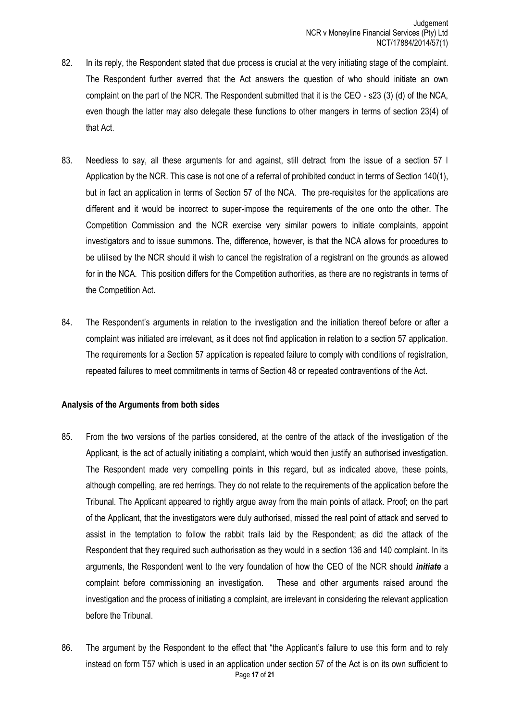- 82. In its reply, the Respondent stated that due process is crucial at the very initiating stage of the complaint. The Respondent further averred that the Act answers the question of who should initiate an own complaint on the part of the NCR. The Respondent submitted that it is the CEO - s23 (3) (d) of the NCA, even though the latter may also delegate these functions to other mangers in terms of section 23(4) of that Act.
- 83. Needless to say, all these arguments for and against, still detract from the issue of a section 57 l Application by the NCR. This case is not one of a referral of prohibited conduct in terms of Section 140(1), but in fact an application in terms of Section 57 of the NCA. The pre-requisites for the applications are different and it would be incorrect to super-impose the requirements of the one onto the other. The Competition Commission and the NCR exercise very similar powers to initiate complaints, appoint investigators and to issue summons. The, difference, however, is that the NCA allows for procedures to be utilised by the NCR should it wish to cancel the registration of a registrant on the grounds as allowed for in the NCA. This position differs for the Competition authorities, as there are no registrants in terms of the Competition Act.
- 84. The Respondent's arguments in relation to the investigation and the initiation thereof before or after a complaint was initiated are irrelevant, as it does not find application in relation to a section 57 application. The requirements for a Section 57 application is repeated failure to comply with conditions of registration, repeated failures to meet commitments in terms of Section 48 or repeated contraventions of the Act.

### **Analysis of the Arguments from both sides**

- 85. From the two versions of the parties considered, at the centre of the attack of the investigation of the Applicant, is the act of actually initiating a complaint, which would then justify an authorised investigation. The Respondent made very compelling points in this regard, but as indicated above, these points, although compelling, are red herrings. They do not relate to the requirements of the application before the Tribunal. The Applicant appeared to rightly argue away from the main points of attack. Proof; on the part of the Applicant, that the investigators were duly authorised, missed the real point of attack and served to assist in the temptation to follow the rabbit trails laid by the Respondent; as did the attack of the Respondent that they required such authorisation as they would in a section 136 and 140 complaint. In its arguments, the Respondent went to the very foundation of how the CEO of the NCR should *initiate* a complaint before commissioning an investigation. These and other arguments raised around the investigation and the process of initiating a complaint, are irrelevant in considering the relevant application before the Tribunal.
- Page **17** of **21** 86. The argument by the Respondent to the effect that "the Applicant's failure to use this form and to rely instead on form T57 which is used in an application under section 57 of the Act is on its own sufficient to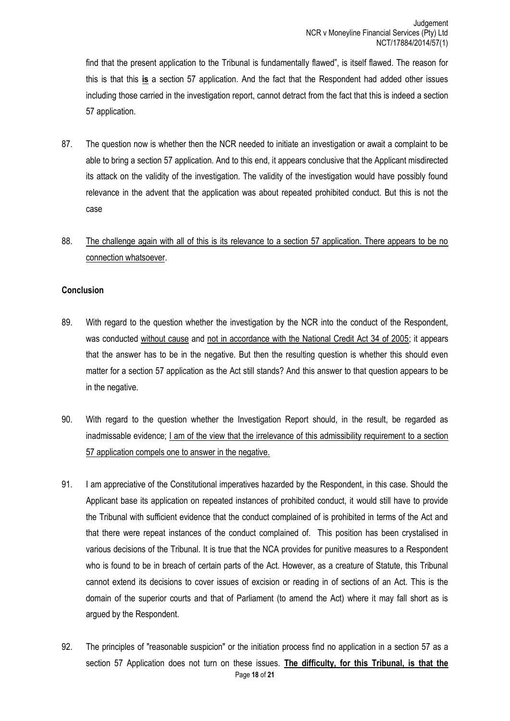find that the present application to the Tribunal is fundamentally flawed", is itself flawed. The reason for this is that this **is** a section 57 application. And the fact that the Respondent had added other issues including those carried in the investigation report, cannot detract from the fact that this is indeed a section 57 application.

- 87. The question now is whether then the NCR needed to initiate an investigation or await a complaint to be able to bring a section 57 application. And to this end, it appears conclusive that the Applicant misdirected its attack on the validity of the investigation. The validity of the investigation would have possibly found relevance in the advent that the application was about repeated prohibited conduct. But this is not the case
- 88. The challenge again with all of this is its relevance to a section 57 application. There appears to be no connection whatsoever.

### **Conclusion**

- 89. With regard to the question whether the investigation by the NCR into the conduct of the Respondent, was conducted without cause and not in accordance with the National Credit Act 34 of 2005; it appears that the answer has to be in the negative. But then the resulting question is whether this should even matter for a section 57 application as the Act still stands? And this answer to that question appears to be in the negative.
- 90. With regard to the question whether the Investigation Report should, in the result, be regarded as inadmissable evidence; I am of the view that the irrelevance of this admissibility requirement to a section 57 application compels one to answer in the negative.
- 91. I am appreciative of the Constitutional imperatives hazarded by the Respondent, in this case. Should the Applicant base its application on repeated instances of prohibited conduct, it would still have to provide the Tribunal with sufficient evidence that the conduct complained of is prohibited in terms of the Act and that there were repeat instances of the conduct complained of. This position has been crystalised in various decisions of the Tribunal. It is true that the NCA provides for punitive measures to a Respondent who is found to be in breach of certain parts of the Act. However, as a creature of Statute, this Tribunal cannot extend its decisions to cover issues of excision or reading in of sections of an Act. This is the domain of the superior courts and that of Parliament (to amend the Act) where it may fall short as is argued by the Respondent.
- Page **18** of **21** 92. The principles of "reasonable suspicion" or the initiation process find no application in a section 57 as a section 57 Application does not turn on these issues. **The difficulty, for this Tribunal, is that the**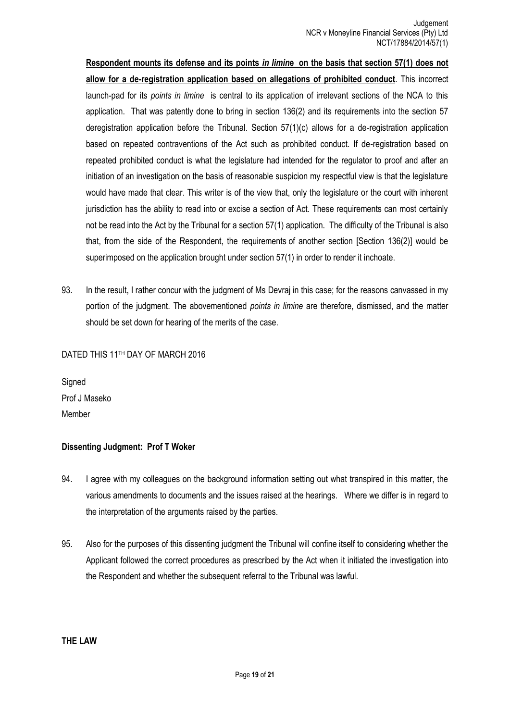**Respondent mounts its defense and its points** *in limin***e on the basis that section 57(1) does not allow for a de-registration application based on allegations of prohibited conduct**. This incorrect launch-pad for its *points in limine* is central to its application of irrelevant sections of the NCA to this application. That was patently done to bring in section 136(2) and its requirements into the section 57 deregistration application before the Tribunal. Section 57(1)(c) allows for a de-registration application based on repeated contraventions of the Act such as prohibited conduct. If de-registration based on repeated prohibited conduct is what the legislature had intended for the regulator to proof and after an initiation of an investigation on the basis of reasonable suspicion my respectful view is that the legislature would have made that clear. This writer is of the view that, only the legislature or the court with inherent jurisdiction has the ability to read into or excise a section of Act. These requirements can most certainly not be read into the Act by the Tribunal for a section 57(1) application. The difficulty of the Tribunal is also that, from the side of the Respondent, the requirements of another section [Section 136(2)] would be superimposed on the application brought under section 57(1) in order to render it inchoate.

93. In the result, I rather concur with the judgment of Ms Devraj in this case; for the reasons canvassed in my portion of the judgment. The abovementioned *points in limine* are therefore, dismissed, and the matter should be set down for hearing of the merits of the case.

## DATED THIS 11TH DAY OF MARCH 2016

**Signed** Prof J Maseko Member

### **Dissenting Judgment: Prof T Woker**

- 94. I agree with my colleagues on the background information setting out what transpired in this matter, the various amendments to documents and the issues raised at the hearings. Where we differ is in regard to the interpretation of the arguments raised by the parties.
- 95. Also for the purposes of this dissenting judgment the Tribunal will confine itself to considering whether the Applicant followed the correct procedures as prescribed by the Act when it initiated the investigation into the Respondent and whether the subsequent referral to the Tribunal was lawful.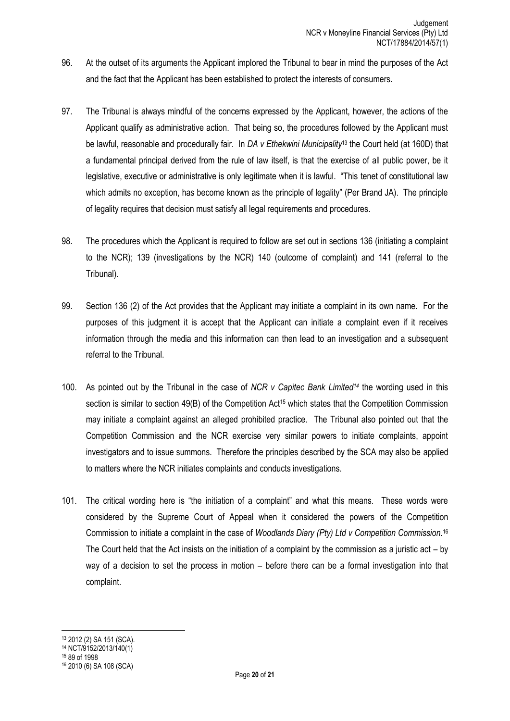- 96. At the outset of its arguments the Applicant implored the Tribunal to bear in mind the purposes of the Act and the fact that the Applicant has been established to protect the interests of consumers.
- 97. The Tribunal is always mindful of the concerns expressed by the Applicant, however, the actions of the Applicant qualify as administrative action. That being so, the procedures followed by the Applicant must be lawful, reasonable and procedurally fair. In *DA v Ethekwini Municipality*<sup>13</sup> the Court held (at 160D) that a fundamental principal derived from the rule of law itself, is that the exercise of all public power, be it legislative, executive or administrative is only legitimate when it is lawful. "This tenet of constitutional law which admits no exception, has become known as the principle of legality" (Per Brand JA). The principle of legality requires that decision must satisfy all legal requirements and procedures.
- 98. The procedures which the Applicant is required to follow are set out in sections 136 (initiating a complaint to the NCR); 139 (investigations by the NCR) 140 (outcome of complaint) and 141 (referral to the Tribunal).
- 99. Section 136 (2) of the Act provides that the Applicant may initiate a complaint in its own name. For the purposes of this judgment it is accept that the Applicant can initiate a complaint even if it receives information through the media and this information can then lead to an investigation and a subsequent referral to the Tribunal.
- 100. As pointed out by the Tribunal in the case of *NCR v Capitec Bank Limited<sup>14</sup>* the wording used in this section is similar to section 49(B) of the Competition Act<sup>15</sup> which states that the Competition Commission may initiate a complaint against an alleged prohibited practice. The Tribunal also pointed out that the Competition Commission and the NCR exercise very similar powers to initiate complaints, appoint investigators and to issue summons. Therefore the principles described by the SCA may also be applied to matters where the NCR initiates complaints and conducts investigations.
- 101. The critical wording here is "the initiation of a complaint" and what this means. These words were considered by the Supreme Court of Appeal when it considered the powers of the Competition Commission to initiate a complaint in the case of *Woodlands Diary (Pty) Ltd v Competition Commission.*<sup>16</sup>  The Court held that the Act insists on the initiation of a complaint by the commission as a juristic act – by way of a decision to set the process in motion – before there can be a formal investigation into that complaint.

 $\overline{\phantom{a}}$ <sup>13</sup> 2012 (2) SA 151 (SCA).

<sup>14</sup> NCT/9152/2013/140(1)

<sup>15</sup> 89 of 1998 <sup>16</sup> 2010 (6) SA 108 (SCA)